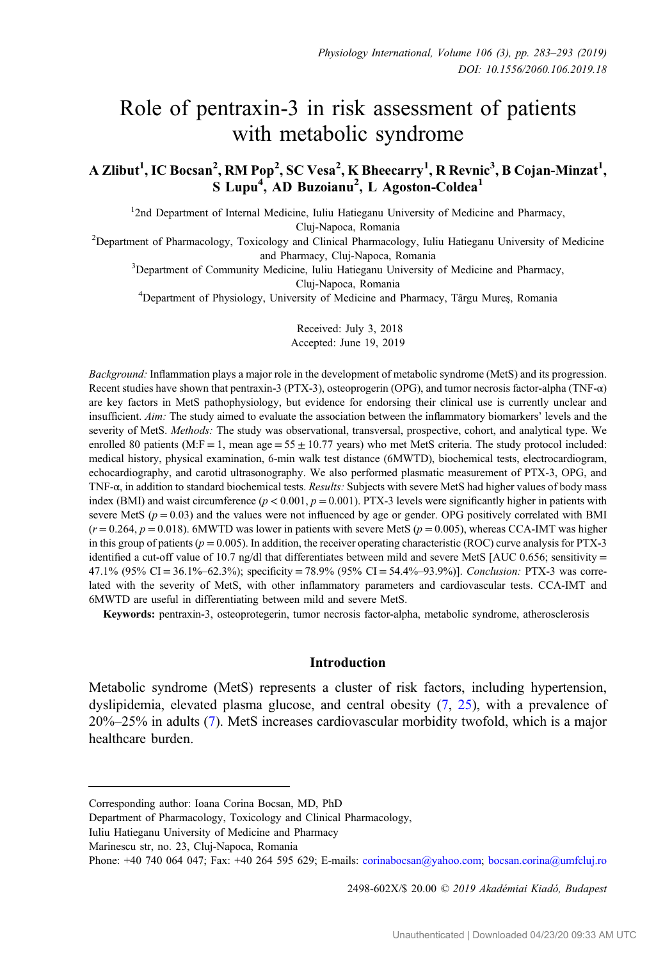# Role of pentraxin-3 in risk assessment of patients with metabolic syndrome

A Zlibut<sup>1</sup>, IC Bocsan<sup>2</sup>, RM Pop<sup>2</sup>, SC Vesa<sup>2</sup>, K Bheecarry<sup>1</sup>, R Revnic<sup>3</sup>, B Cojan-Minzat<sup>1</sup>, S Lupu<sup>4</sup>, AD Buzoianu<sup>2</sup>, L Agoston-Coldea<sup>1</sup>

<sup>1</sup>2nd Department of Internal Medicine, Iuliu Hatieganu University of Medicine and Pharmacy,

Cluj-Napoca, Romania <sup>2</sup> Department of Pharmacology, Toxicology and Clinical Pharmacology, Iuliu Hatieganu University of Medicine

and Pharmacy, Cluj-Napoca, Romania<br><sup>3</sup>Department of Community Medicine, Iuliu Hatieganu University of Medicine and Pharmacy,

Cluj-Napoca, Romania<br><sup>4</sup>Department of Physiology, University of Medicine and Pharmacy, Târgu Mureş, Romania

Received: July 3, 2018 Accepted: June 19, 2019

Background: Inflammation plays a major role in the development of metabolic syndrome (MetS) and its progression. Recent studies have shown that pentraxin-3 (PTX-3), osteoprogerin (OPG), and tumor necrosis factor-alpha (TNF-α) are key factors in MetS pathophysiology, but evidence for endorsing their clinical use is currently unclear and insufficient. Aim: The study aimed to evaluate the association between the inflammatory biomarkers' levels and the severity of MetS. Methods: The study was observational, transversal, prospective, cohort, and analytical type. We enrolled 80 patients (M:F = 1, mean  $age = 55 \pm 10.77$  years) who met MetS criteria. The study protocol included: medical history, physical examination, 6-min walk test distance (6MWTD), biochemical tests, electrocardiogram, echocardiography, and carotid ultrasonography. We also performed plasmatic measurement of PTX-3, OPG, and TNF- $\alpha$ , in addition to standard biochemical tests. Results: Subjects with severe MetS had higher values of body mass index (BMI) and waist circumference ( $p < 0.001$ ,  $p = 0.001$ ). PTX-3 levels were significantly higher in patients with severe MetS ( $p = 0.03$ ) and the values were not influenced by age or gender. OPG positively correlated with BMI  $(r = 0.264, p = 0.018)$ . 6MWTD was lower in patients with severe MetS ( $p = 0.005$ ), whereas CCA-IMT was higher in this group of patients ( $p = 0.005$ ). In addition, the receiver operating characteristic (ROC) curve analysis for PTX-3 identified a cut-off value of 10.7 ng/dl that differentiates between mild and severe MetS [AUC 0.656; sensitivity = 47.1% (95% CI = 36.1%–62.3%); specificity = 78.9% (95% CI = 54.4%–93.9%)]. Conclusion: PTX-3 was correlated with the severity of MetS, with other inflammatory parameters and cardiovascular tests. CCA-IMT and 6MWTD are useful in differentiating between mild and severe MetS.

Keywords: pentraxin-3, osteoprotegerin, tumor necrosis factor-alpha, metabolic syndrome, atherosclerosis

## Introduction

Metabolic syndrome (MetS) represents a cluster of risk factors, including hypertension, dyslipidemia, elevated plasma glucose, and central obesity ([7,](#page-9-0) [25](#page-10-0)), with a prevalence of 20%–25% in adults ([7\)](#page-9-0). MetS increases cardiovascular morbidity twofold, which is a major healthcare burden.

2498-602X/\$ 20.00 © 2019 Akadémiai Kiadó, Budapest

Corresponding author: Ioana Corina Bocsan, MD, PhD

Department of Pharmacology, Toxicology and Clinical Pharmacology,

Iuliu Hatieganu University of Medicine and Pharmacy

Marinescu str, no. 23, Cluj-Napoca, Romania

Phone: +40 740 064 047; Fax: +40 264 595 629; E-mails: [corinabocsan@yahoo.com](mailto:corinabocsan@yahoo.com); [bocsan.corina@umfcluj.ro](mailto:bocsan.corina@umfcluj.ro)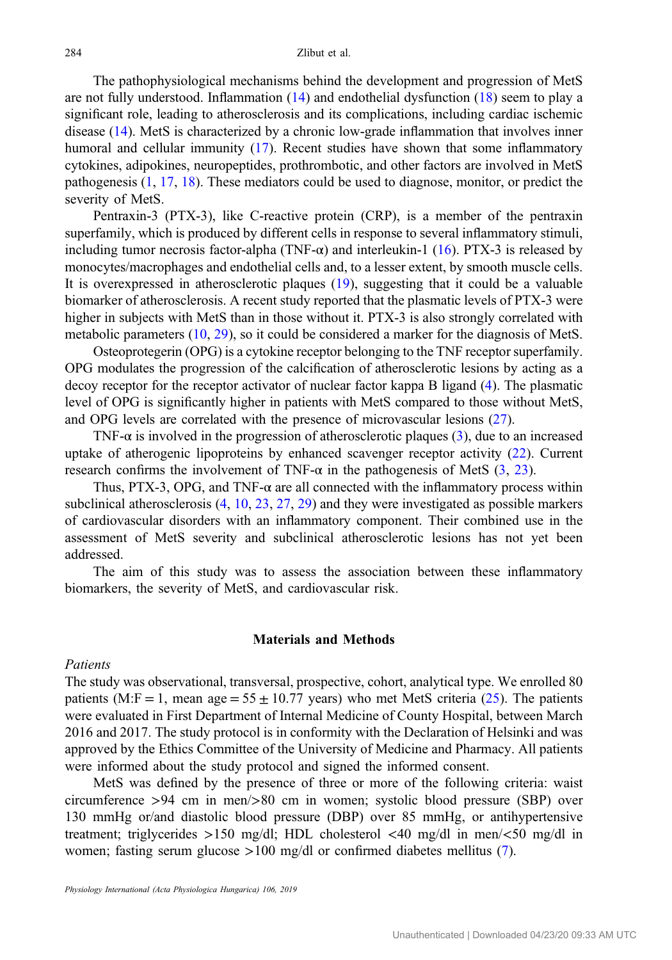The pathophysiological mechanisms behind the development and progression of MetS are not fully understood. Inflammation  $(14)$  $(14)$  and endothelial dysfunction  $(18)$  $(18)$  seem to play a significant role, leading to atherosclerosis and its complications, including cardiac ischemic disease ([14\)](#page-10-0). MetS is characterized by a chronic low-grade inflammation that involves inner humoral and cellular immunity ([17\)](#page-10-0). Recent studies have shown that some inflammatory cytokines, adipokines, neuropeptides, prothrombotic, and other factors are involved in MetS pathogenesis [\(1](#page-9-0), [17](#page-10-0), [18\)](#page-10-0). These mediators could be used to diagnose, monitor, or predict the severity of MetS.

Pentraxin-3 (PTX-3), like C-reactive protein (CRP), is a member of the pentraxin superfamily, which is produced by different cells in response to several inflammatory stimuli, including tumor necrosis factor-alpha (TNF- $\alpha$ ) and interleukin-1 ([16\)](#page-10-0). PTX-3 is released by monocytes/macrophages and endothelial cells and, to a lesser extent, by smooth muscle cells. It is overexpressed in atherosclerotic plaques ([19\)](#page-10-0), suggesting that it could be a valuable biomarker of atherosclerosis. A recent study reported that the plasmatic levels of PTX-3 were higher in subjects with MetS than in those without it. PTX-3 is also strongly correlated with metabolic parameters ([10,](#page-9-0) [29\)](#page-10-0), so it could be considered a marker for the diagnosis of MetS.

Osteoprotegerin (OPG) is a cytokine receptor belonging to the TNF receptor superfamily. OPG modulates the progression of the calcification of atherosclerotic lesions by acting as a decoy receptor for the receptor activator of nuclear factor kappa B ligand ([4\)](#page-9-0). The plasmatic level of OPG is significantly higher in patients with MetS compared to those without MetS, and OPG levels are correlated with the presence of microvascular lesions [\(27](#page-10-0)).

TNF- $\alpha$  is involved in the progression of atherosclerotic plaques [\(3](#page-9-0)), due to an increased uptake of atherogenic lipoproteins by enhanced scavenger receptor activity ([22\)](#page-10-0). Current research confirms the involvement of TNF- $\alpha$  in the pathogenesis of MetS [\(3,](#page-9-0) [23\)](#page-10-0).

Thus, PTX-3, OPG, and TNF-α are all connected with the inflammatory process within subclinical atherosclerosis ([4,](#page-9-0) [10,](#page-9-0) [23,](#page-10-0) [27,](#page-10-0) [29\)](#page-10-0) and they were investigated as possible markers of cardiovascular disorders with an inflammatory component. Their combined use in the assessment of MetS severity and subclinical atherosclerotic lesions has not yet been addressed.

The aim of this study was to assess the association between these inflammatory biomarkers, the severity of MetS, and cardiovascular risk.

#### Materials and Methods

#### Patients

The study was observational, transversal, prospective, cohort, analytical type. We enrolled 80 patients (M:F = 1, mean age =  $55 \pm 10.77$  years) who met MetS criteria [\(25](#page-10-0)). The patients were evaluated in First Department of Internal Medicine of County Hospital, between March 2016 and 2017. The study protocol is in conformity with the Declaration of Helsinki and was approved by the Ethics Committee of the University of Medicine and Pharmacy. All patients were informed about the study protocol and signed the informed consent.

MetS was defined by the presence of three or more of the following criteria: waist circumference >94 cm in men/>80 cm in women; systolic blood pressure (SBP) over 130 mmHg or/and diastolic blood pressure (DBP) over 85 mmHg, or antihypertensive treatment; triglycerides >150 mg/dl; HDL cholesterol <40 mg/dl in men/<50 mg/dl in women; fasting serum glucose >100 mg/dl or confirmed diabetes mellitus [\(7](#page-9-0)).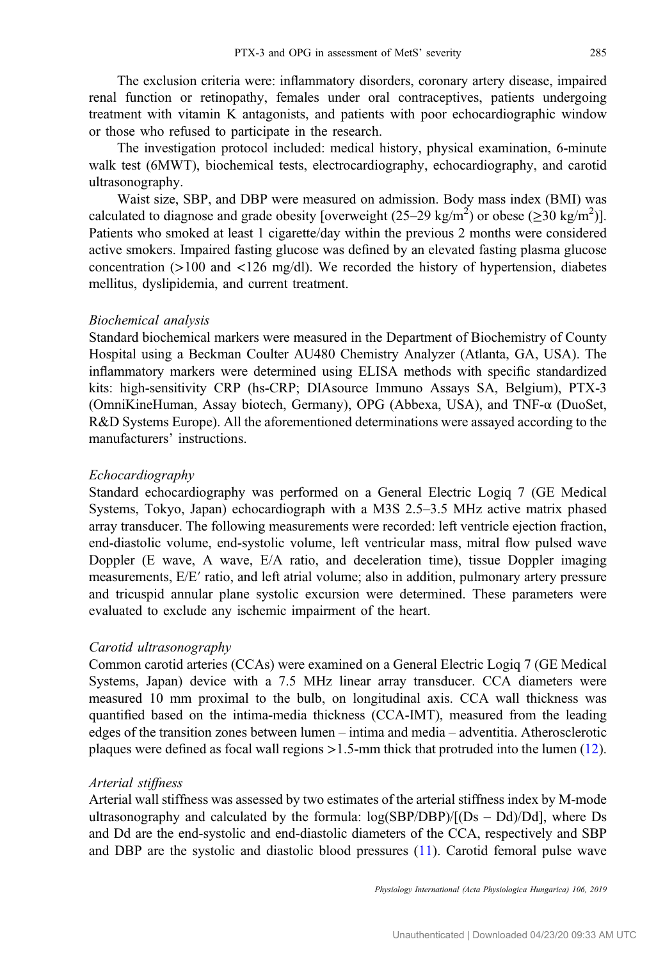The exclusion criteria were: inflammatory disorders, coronary artery disease, impaired renal function or retinopathy, females under oral contraceptives, patients undergoing treatment with vitamin K antagonists, and patients with poor echocardiographic window or those who refused to participate in the research.

The investigation protocol included: medical history, physical examination, 6-minute walk test (6MWT), biochemical tests, electrocardiography, echocardiography, and carotid ultrasonography.

Waist size, SBP, and DBP were measured on admission. Body mass index (BMI) was calculated to diagnose and grade obesity [overweight  $(25-29 \text{ kg/m}^2)$  or obese  $(\geq 30 \text{ kg/m}^2)$ ]. Patients who smoked at least 1 cigarette/day within the previous 2 months were considered active smokers. Impaired fasting glucose was defined by an elevated fasting plasma glucose concentration ( $>100$  and  $<126$  mg/dl). We recorded the history of hypertension, diabetes mellitus, dyslipidemia, and current treatment.

#### Biochemical analysis

Standard biochemical markers were measured in the Department of Biochemistry of County Hospital using a Beckman Coulter AU480 Chemistry Analyzer (Atlanta, GA, USA). The inflammatory markers were determined using ELISA methods with specific standardized kits: high-sensitivity CRP (hs-CRP; DIAsource Immuno Assays SA, Belgium), PTX-3 (OmniKineHuman, Assay biotech, Germany), OPG (Abbexa, USA), and TNF-α (DuoSet, R&D Systems Europe). All the aforementioned determinations were assayed according to the manufacturers' instructions.

## Echocardiography

Standard echocardiography was performed on a General Electric Logiq 7 (GE Medical Systems, Tokyo, Japan) echocardiograph with a M3S 2.5–3.5 MHz active matrix phased array transducer. The following measurements were recorded: left ventricle ejection fraction, end-diastolic volume, end-systolic volume, left ventricular mass, mitral flow pulsed wave Doppler (E wave, A wave, E/A ratio, and deceleration time), tissue Doppler imaging measurements, E/E′ ratio, and left atrial volume; also in addition, pulmonary artery pressure and tricuspid annular plane systolic excursion were determined. These parameters were evaluated to exclude any ischemic impairment of the heart.

### Carotid ultrasonography

Common carotid arteries (CCAs) were examined on a General Electric Logiq 7 (GE Medical Systems, Japan) device with a 7.5 MHz linear array transducer. CCA diameters were measured 10 mm proximal to the bulb, on longitudinal axis. CCA wall thickness was quantified based on the intima-media thickness (CCA-IMT), measured from the leading edges of the transition zones between lumen – intima and media – adventitia. Atherosclerotic plaques were defined as focal wall regions >1.5-mm thick that protruded into the lumen [\(12](#page-10-0)).

#### Arterial stiffness

Arterial wall stiffness was assessed by two estimates of the arterial stiffness index by M-mode ultrasonography and calculated by the formula:  $log(SBP/DBP)/[Ds - Dd)/Dd$ , where Ds and Dd are the end-systolic and end-diastolic diameters of the CCA, respectively and SBP and DBP are the systolic and diastolic blood pressures ([11\)](#page-9-0). Carotid femoral pulse wave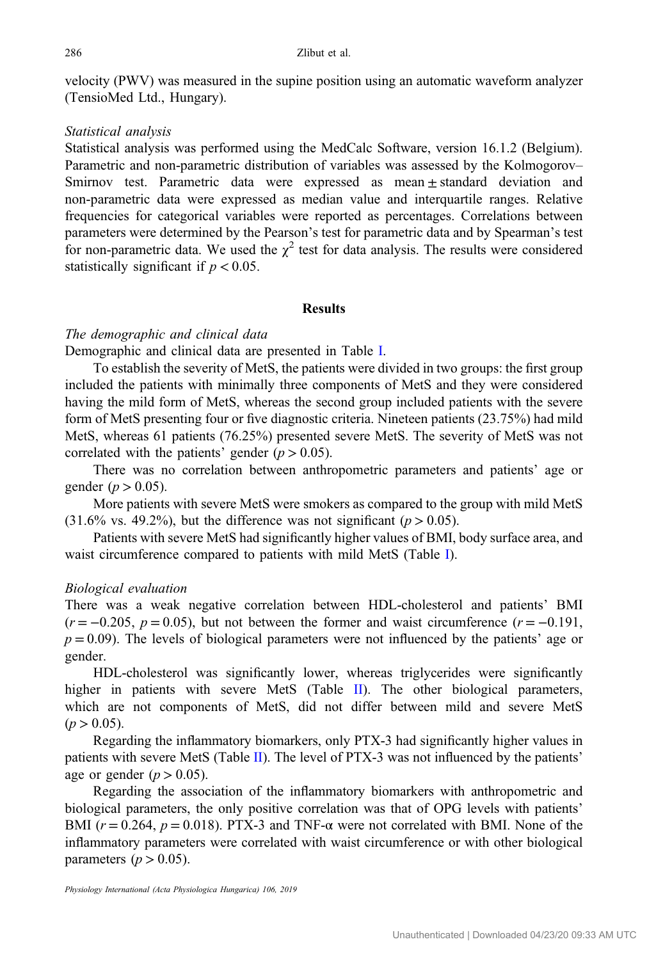velocity (PWV) was measured in the supine position using an automatic waveform analyzer (TensioMed Ltd., Hungary).

## Statistical analysis

Statistical analysis was performed using the MedCalc Software, version 16.1.2 (Belgium). Parametric and non-parametric distribution of variables was assessed by the Kolmogorov– Smirnov test. Parametric data were expressed as mean ± standard deviation and non-parametric data were expressed as median value and interquartile ranges. Relative frequencies for categorical variables were reported as percentages. Correlations between parameters were determined by the Pearson's test for parametric data and by Spearman's test for non-parametric data. We used the  $\chi^2$  test for data analysis. The results were considered statistically significant if  $p < 0.05$ .

#### Results

## The demographic and clinical data

Demographic and clinical data are presented in Table [I](#page-4-0).

To establish the severity of MetS, the patients were divided in two groups: the first group included the patients with minimally three components of MetS and they were considered having the mild form of MetS, whereas the second group included patients with the severe form of MetS presenting four or five diagnostic criteria. Nineteen patients (23.75%) had mild MetS, whereas 61 patients (76.25%) presented severe MetS. The severity of MetS was not correlated with the patients' gender  $(p > 0.05)$ .

There was no correlation between anthropometric parameters and patients' age or gender ( $p > 0.05$ ).

More patients with severe MetS were smokers as compared to the group with mild MetS  $(31.6\% \text{ vs. } 49.2\%)$ , but the difference was not significant ( $p > 0.05$ ).

Patients with severe MetS had significantly higher values of BMI, body surface area, and waist circumference compared to patients with mild MetS (Table [I\)](#page-4-0).

### Biological evaluation

There was a weak negative correlation between HDL-cholesterol and patients' BMI  $(r = -0.205, p = 0.05)$ , but not between the former and waist circumference  $(r = -0.191)$ ,  $p = 0.09$ . The levels of biological parameters were not influenced by the patients' age or gender.

HDL-cholesterol was significantly lower, whereas triglycerides were significantly higher in patients with severe MetS (Table [II](#page-5-0)). The other biological parameters, which are not components of MetS, did not differ between mild and severe MetS  $(p > 0.05)$ .

Regarding the inflammatory biomarkers, only PTX-3 had significantly higher values in patients with severe MetS (Table [II](#page-5-0)). The level of PTX-3 was not influenced by the patients' age or gender ( $p > 0.05$ ).

Regarding the association of the inflammatory biomarkers with anthropometric and biological parameters, the only positive correlation was that of OPG levels with patients' BMI  $(r = 0.264, p = 0.018)$ . PTX-3 and TNF- $\alpha$  were not correlated with BMI. None of the inflammatory parameters were correlated with waist circumference or with other biological parameters ( $p > 0.05$ ).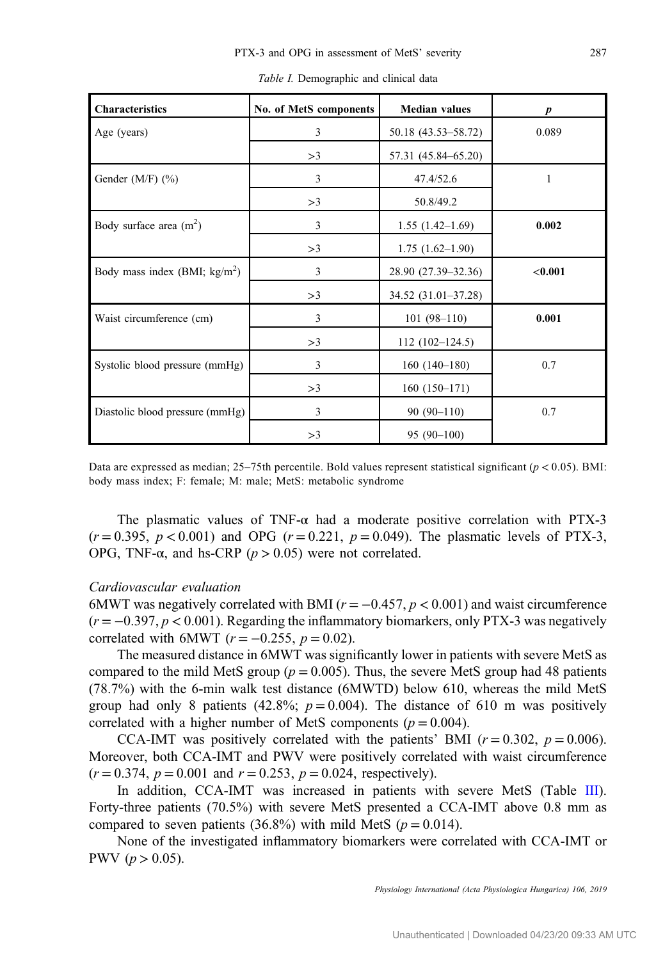<span id="page-4-0"></span>

| <b>Characteristics</b>          | No. of MetS components | <b>Median values</b> | $\boldsymbol{p}$ |
|---------------------------------|------------------------|----------------------|------------------|
| Age (years)                     | 3                      | 50.18 (43.53–58.72)  | 0.089            |
|                                 | >3                     | 57.31 (45.84–65.20)  |                  |
| Gender $(M/F)$ $(\%)$           | 3                      | 47.4/52.6            | 1                |
|                                 | >3                     | 50.8/49.2            |                  |
| Body surface area $(m^2)$       | 3                      | $1.55(1.42-1.69)$    | 0.002            |
|                                 | >3                     | $1.75(1.62-1.90)$    |                  |
| Body mass index (BMI; $kg/m2$ ) | 3                      | 28.90 (27.39–32.36)  | < 0.001          |
|                                 | >3                     | 34.52 (31.01-37.28)  |                  |
| Waist circumference (cm)        | 3                      | $101(98-110)$        | 0.001            |
|                                 | >3                     | $112(102-124.5)$     |                  |
| Systolic blood pressure (mmHg)  | 3                      | $160(140-180)$       | 0.7              |
|                                 | >3                     | $160(150-171)$       |                  |
| Diastolic blood pressure (mmHg) | 3                      | $90(90-110)$         | 0.7              |
|                                 | >3                     | $95(90-100)$         |                  |

Table I. Demographic and clinical data

Data are expressed as median;  $25-75$ th percentile. Bold values represent statistical significant ( $p < 0.05$ ). BMI: body mass index; F: female; M: male; MetS: metabolic syndrome

The plasmatic values of TNF- $\alpha$  had a moderate positive correlation with PTX-3  $(r = 0.395, p < 0.001)$  and OPG  $(r = 0.221, p = 0.049)$ . The plasmatic levels of PTX-3, OPG, TNF-α, and hs-CRP ( $p > 0.05$ ) were not correlated.

#### Cardiovascular evaluation

6MWT was negatively correlated with BMI ( $r = -0.457$ ,  $p < 0.001$ ) and waist circumference  $(r = -0.397, p < 0.001)$ . Regarding the inflammatory biomarkers, only PTX-3 was negatively correlated with 6MWT ( $r = -0.255$ ,  $p = 0.02$ ).

The measured distance in 6MWT was significantly lower in patients with severe MetS as compared to the mild MetS group ( $p = 0.005$ ). Thus, the severe MetS group had 48 patients (78.7%) with the 6-min walk test distance (6MWTD) below 610, whereas the mild MetS group had only 8 patients (42.8%;  $p = 0.004$ ). The distance of 610 m was positively correlated with a higher number of MetS components ( $p = 0.004$ ).

CCA-IMT was positively correlated with the patients' BMI  $(r = 0.302, p = 0.006)$ . Moreover, both CCA-IMT and PWV were positively correlated with waist circumference  $(r = 0.374, p = 0.001$  and  $r = 0.253, p = 0.024$ , respectively).

In addition, CCA-IMT was increased in patients with severe MetS (Table [III](#page-6-0)). Forty-three patients (70.5%) with severe MetS presented a CCA-IMT above 0.8 mm as compared to seven patients (36.8%) with mild MetS ( $p = 0.014$ ).

None of the investigated inflammatory biomarkers were correlated with CCA-IMT or PWV ( $p > 0.05$ ).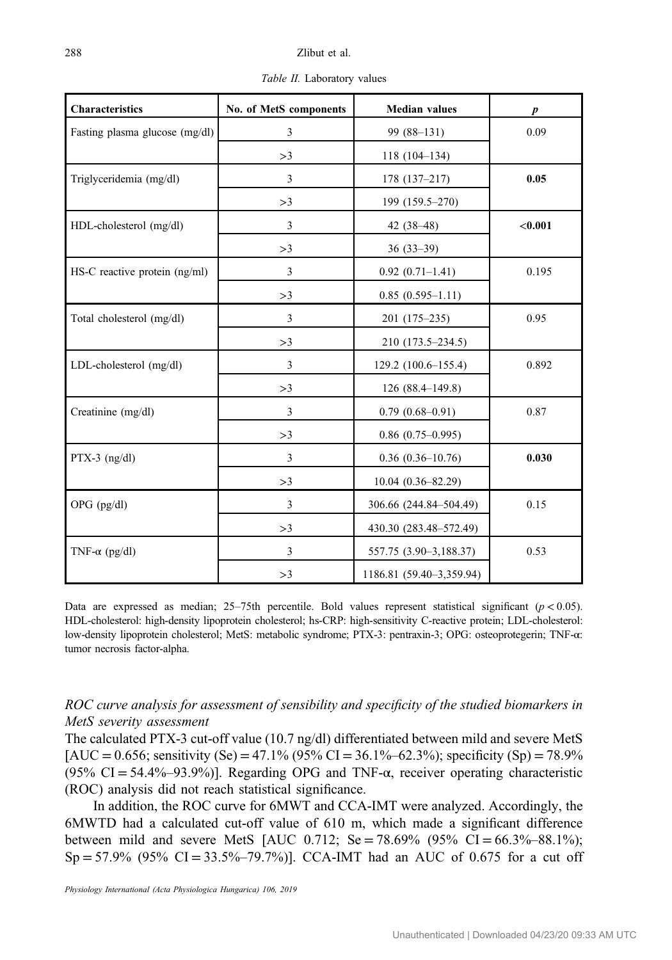<span id="page-5-0"></span>

| <b>Characteristics</b>            | No. of MetS components | <b>Median values</b>     |                  |
|-----------------------------------|------------------------|--------------------------|------------------|
|                                   |                        |                          | $\boldsymbol{p}$ |
| Fasting plasma glucose (mg/dl)    | 3                      | 99 (88-131)              | 0.09             |
|                                   | >3                     | $118(104-134)$           |                  |
| Triglyceridemia (mg/dl)           | 3                      | $178(137-217)$           | 0.05             |
|                                   | >3                     | 199 (159.5-270)          |                  |
| HDL-cholesterol (mg/dl)           | 3                      | 42 $(38-48)$             | < 0.001          |
|                                   | >3                     | $36(33-39)$              |                  |
| $HS-C$ reactive protein $(ng/ml)$ | 3                      | $0.92(0.71-1.41)$        | 0.195            |
|                                   | >3                     | $0.85(0.595-1.11)$       |                  |
| Total cholesterol (mg/dl)         | 3                      | 201 (175-235)            | 0.95             |
|                                   | >3                     | 210 (173.5–234.5)        |                  |
| LDL-cholesterol (mg/dl)           | 3                      | 129.2 (100.6–155.4)      | 0.892            |
|                                   | >3                     | 126 (88.4-149.8)         |                  |
| Creatinine (mg/dl)                | 3                      | $0.79(0.68 - 0.91)$      | 0.87             |
|                                   | >3                     | $0.86$ (0.75-0.995)      |                  |
| $PTX-3$ (ng/dl)                   | 3                      | $0.36(0.36-10.76)$       | 0.030            |
|                                   | >3                     | 10.04 (0.36-82.29)       |                  |
| $OPG$ (pg/dl)                     | 3                      | 306.66 (244.84-504.49)   | 0.15             |
|                                   | >3                     | 430.30 (283.48-572.49)   |                  |
| TNF- $\alpha$ (pg/dl)             | 3                      | 557.75 (3.90-3,188.37)   | 0.53             |
|                                   | >3                     | 1186.81 (59.40-3,359.94) |                  |

Table II. Laboratory values

Data are expressed as median;  $25-75$ th percentile. Bold values represent statistical significant ( $p < 0.05$ ). HDL-cholesterol: high-density lipoprotein cholesterol; hs-CRP: high-sensitivity C-reactive protein; LDL-cholesterol: low-density lipoprotein cholesterol; MetS: metabolic syndrome; PTX-3: pentraxin-3; OPG: osteoprotegerin; TNF-α: tumor necrosis factor-alpha.

## ROC curve analysis for assessment of sensibility and specificity of the studied biomarkers in MetS severity assessment

The calculated PTX-3 cut-off value (10.7 ng/dl) differentiated between mild and severe MetS  $[AUC = 0.656$ ; sensitivity (Se) = 47.1% (95% CI = 36.1%–62.3%); specificity (Sp) = 78.9% (95% CI = 54.4%–93.9%)]. Regarding OPG and TNF- $\alpha$ , receiver operating characteristic (ROC) analysis did not reach statistical significance.

In addition, the ROC curve for 6MWT and CCA-IMT were analyzed. Accordingly, the 6MWTD had a calculated cut-off value of 610 m, which made a significant difference between mild and severe MetS [AUC 0.712; Se = 78.69% (95% CI = 66.3%–88.1%);  $Sp = 57.9\%$  (95% CI = 33.5%–79.7%)]. CCA-IMT had an AUC of 0.675 for a cut off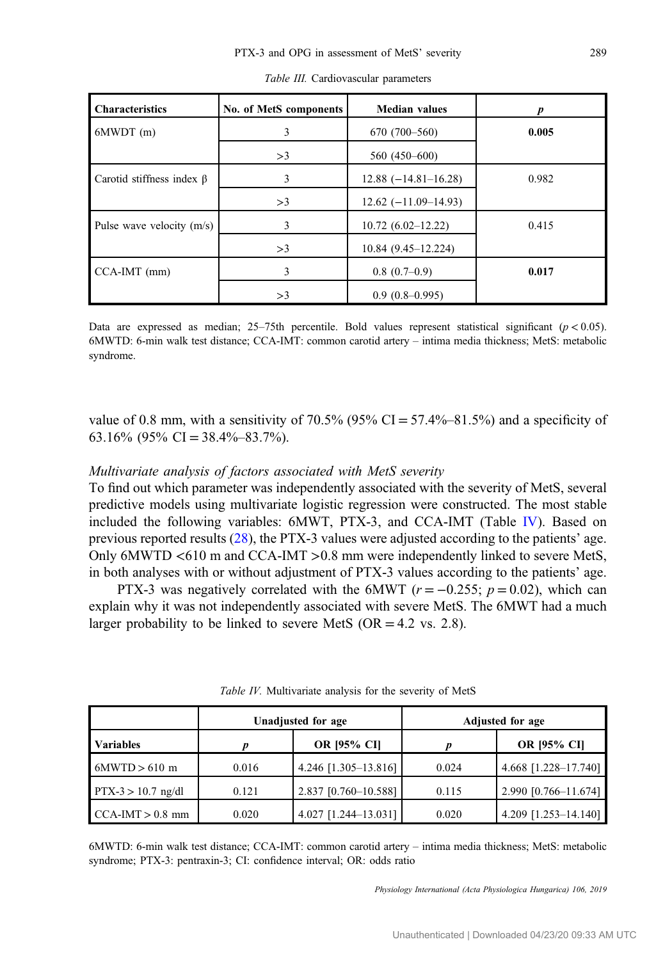<span id="page-6-0"></span>

| <b>Characteristics</b>          | No. of MetS components | <b>Median values</b>     |       |
|---------------------------------|------------------------|--------------------------|-------|
| $6MWDT$ (m)                     | 3                      | $670(700-560)$           | 0.005 |
|                                 | >3                     | 560 (450-600)            |       |
| Carotid stiffness index $\beta$ | 3                      | $12.88 (-14.81 - 16.28)$ | 0.982 |
|                                 | >3                     | $12.62(-11.09-14.93)$    |       |
| Pulse wave velocity $(m/s)$     | 3                      | $10.72(6.02-12.22)$      | 0.415 |
|                                 | >3                     | $10.84(9.45 - 12.224)$   |       |
| $CCA-IMT$ (mm)                  | 3                      | $0.8(0.7-0.9)$           | 0.017 |
|                                 | >3                     | $0.9(0.8-0.995)$         |       |

| Table III. Cardiovascular parameters |
|--------------------------------------|
|                                      |

Data are expressed as median; 25–75th percentile. Bold values represent statistical significant  $(p < 0.05)$ . 6MWTD: 6-min walk test distance; CCA-IMT: common carotid artery – intima media thickness; MetS: metabolic syndrome.

value of 0.8 mm, with a sensitivity of 70.5% ( $95\%$  CI = 57.4%–81.5%) and a specificity of 63.16% (95% CI =  $38.4\% - 83.7\%$ ).

## Multivariate analysis of factors associated with MetS severity

To find out which parameter was independently associated with the severity of MetS, several predictive models using multivariate logistic regression were constructed. The most stable included the following variables: 6MWT, PTX-3, and CCA-IMT (Table IV). Based on previous reported results ([28\)](#page-10-0), the PTX-3 values were adjusted according to the patients' age. Only 6MWTD <610 m and CCA-IMT >0.8 mm were independently linked to severe MetS, in both analyses with or without adjustment of PTX-3 values according to the patients' age.

PTX-3 was negatively correlated with the 6MWT ( $r = -0.255$ ;  $p = 0.02$ ), which can explain why it was not independently associated with severe MetS. The 6MWT had a much larger probability to be linked to severe MetS ( $OR = 4.2$  vs. 2.8).

|                      | Unadjusted for age |                      | <b>Adjusted for age</b> |                        |
|----------------------|--------------------|----------------------|-------------------------|------------------------|
| <b>Variables</b>     |                    | <b>OR [95% CI]</b>   |                         | <b>OR [95% CI]</b>     |
| $6MWD > 610$ m       | 0.016              | 4.246 [1.305-13.816] | 0.024                   | 4.668 [1.228-17.740]   |
| $PTX-3 > 10.7$ ng/dl | 0.121              | 2.837 [0.760-10.588] | 0.115                   | $2.990$ [0.766-11.674] |
| $CCA-IMT > 0.8$ mm   | 0.020              | 4.027 [1.244-13.031] | 0.020                   | 4.209 [1.253-14.140]   |

Table IV. Multivariate analysis for the severity of MetS

6MWTD: 6-min walk test distance; CCA-IMT: common carotid artery – intima media thickness; MetS: metabolic syndrome; PTX-3: pentraxin-3; CI: confidence interval; OR: odds ratio

Physiology International (Acta Physiologica Hungarica) 106, 2019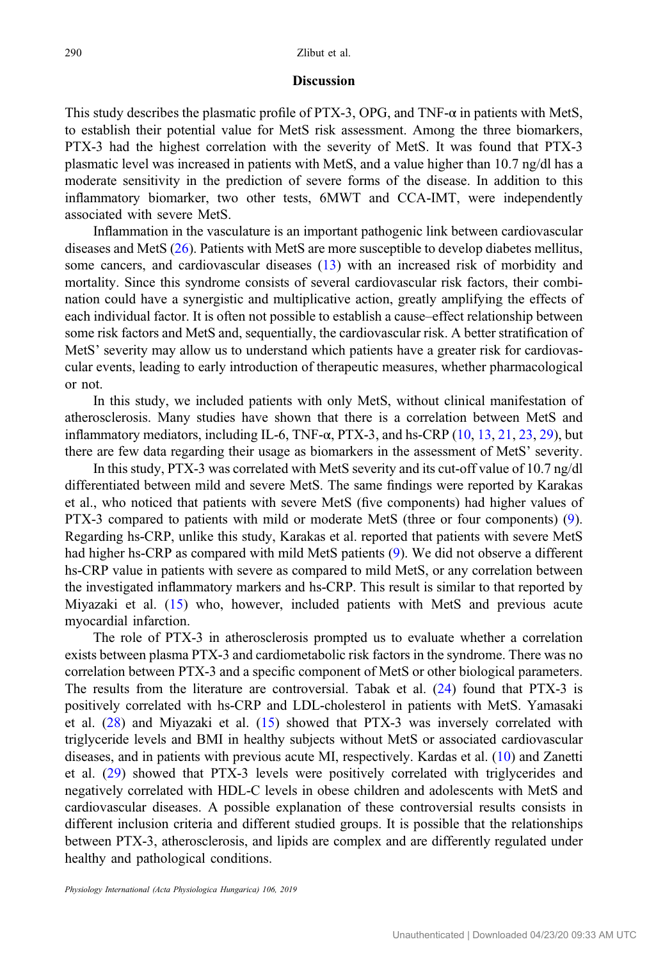#### **Discussion**

This study describes the plasmatic profile of PTX-3, OPG, and TNF- $\alpha$  in patients with MetS, to establish their potential value for MetS risk assessment. Among the three biomarkers, PTX-3 had the highest correlation with the severity of MetS. It was found that PTX-3 plasmatic level was increased in patients with MetS, and a value higher than 10.7 ng/dl has a moderate sensitivity in the prediction of severe forms of the disease. In addition to this inflammatory biomarker, two other tests, 6MWT and CCA-IMT, were independently associated with severe MetS.

Inflammation in the vasculature is an important pathogenic link between cardiovascular diseases and MetS ([26\)](#page-10-0). Patients with MetS are more susceptible to develop diabetes mellitus, some cancers, and cardiovascular diseases [\(13\)](#page-10-0) with an increased risk of morbidity and mortality. Since this syndrome consists of several cardiovascular risk factors, their combination could have a synergistic and multiplicative action, greatly amplifying the effects of each individual factor. It is often not possible to establish a cause–effect relationship between some risk factors and MetS and, sequentially, the cardiovascular risk. A better stratification of MetS' severity may allow us to understand which patients have a greater risk for cardiovascular events, leading to early introduction of therapeutic measures, whether pharmacological or not.

In this study, we included patients with only MetS, without clinical manifestation of atherosclerosis. Many studies have shown that there is a correlation between MetS and inflammatory mediators, including IL-6, TNF- $\alpha$ , PTX-3, and hs-CRP ([10,](#page-9-0) [13](#page-10-0), [21](#page-10-0), [23,](#page-10-0) [29](#page-10-0)), but there are few data regarding their usage as biomarkers in the assessment of MetS' severity.

In this study, PTX-3 was correlated with MetS severity and its cut-off value of 10.7 ng/dl differentiated between mild and severe MetS. The same findings were reported by Karakas et al., who noticed that patients with severe MetS (five components) had higher values of PTX-3 compared to patients with mild or moderate MetS (three or four components) [\(9](#page-9-0)). Regarding hs-CRP, unlike this study, Karakas et al. reported that patients with severe MetS had higher hs-CRP as compared with mild MetS patients [\(9](#page-9-0)). We did not observe a different hs-CRP value in patients with severe as compared to mild MetS, or any correlation between the investigated inflammatory markers and hs-CRP. This result is similar to that reported by Miyazaki et al. ([15\)](#page-10-0) who, however, included patients with MetS and previous acute myocardial infarction.

The role of PTX-3 in atherosclerosis prompted us to evaluate whether a correlation exists between plasma PTX-3 and cardiometabolic risk factors in the syndrome. There was no correlation between PTX-3 and a specific component of MetS or other biological parameters. The results from the literature are controversial. Tabak et al. ([24](#page-10-0)) found that PTX-3 is positively correlated with hs-CRP and LDL-cholesterol in patients with MetS. Yamasaki et al. ([28\)](#page-10-0) and Miyazaki et al. ([15\)](#page-10-0) showed that PTX-3 was inversely correlated with triglyceride levels and BMI in healthy subjects without MetS or associated cardiovascular diseases, and in patients with previous acute MI, respectively. Kardas et al. ([10\)](#page-9-0) and Zanetti et al. ([29\)](#page-10-0) showed that PTX-3 levels were positively correlated with triglycerides and negatively correlated with HDL-C levels in obese children and adolescents with MetS and cardiovascular diseases. A possible explanation of these controversial results consists in different inclusion criteria and different studied groups. It is possible that the relationships between PTX-3, atherosclerosis, and lipids are complex and are differently regulated under healthy and pathological conditions.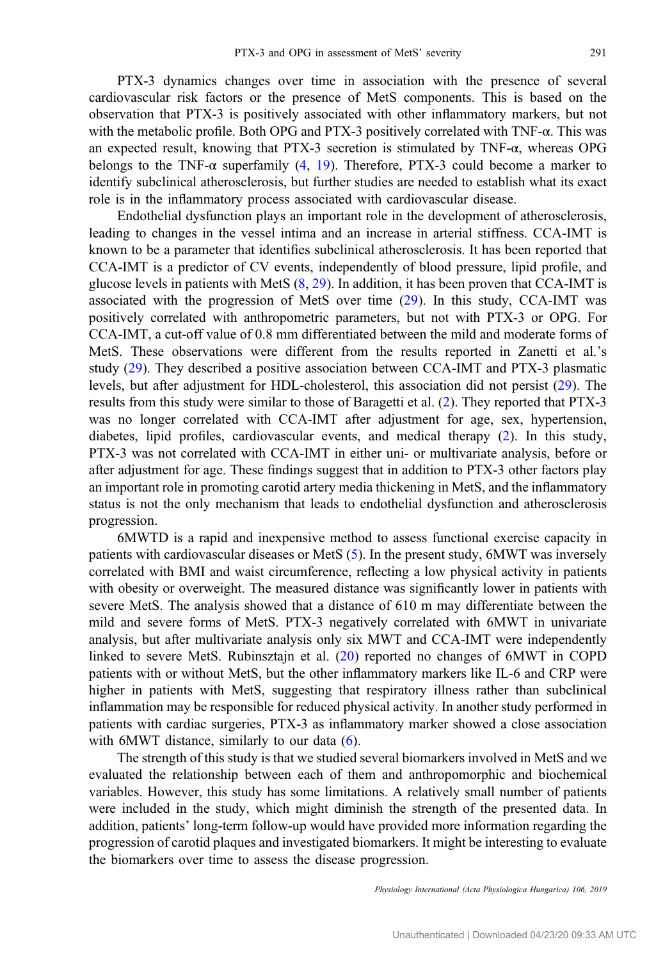PTX-3 dynamics changes over time in association with the presence of several cardiovascular risk factors or the presence of MetS components. This is based on the observation that PTX-3 is positively associated with other inflammatory markers, but not with the metabolic profile. Both OPG and PTX-3 positively correlated with  $TNF-\alpha$ . This was an expected result, knowing that PTX-3 secretion is stimulated by TNF-α, whereas OPG belongs to the TNF- $\alpha$  superfamily [\(4](#page-9-0), [19\)](#page-10-0). Therefore, PTX-3 could become a marker to identify subclinical atherosclerosis, but further studies are needed to establish what its exact role is in the inflammatory process associated with cardiovascular disease.

Endothelial dysfunction plays an important role in the development of atherosclerosis, leading to changes in the vessel intima and an increase in arterial stiffness. CCA-IMT is known to be a parameter that identifies subclinical atherosclerosis. It has been reported that CCA-IMT is a predictor of CV events, independently of blood pressure, lipid profile, and glucose levels in patients with MetS  $(8, 29)$  $(8, 29)$  $(8, 29)$  $(8, 29)$ . In addition, it has been proven that CCA-IMT is associated with the progression of MetS over time [\(29](#page-10-0)). In this study, CCA-IMT was positively correlated with anthropometric parameters, but not with PTX-3 or OPG. For CCA-IMT, a cut-off value of 0.8 mm differentiated between the mild and moderate forms of MetS. These observations were different from the results reported in Zanetti et al.'s study ([29\)](#page-10-0). They described a positive association between CCA-IMT and PTX-3 plasmatic levels, but after adjustment for HDL-cholesterol, this association did not persist [\(29](#page-10-0)). The results from this study were similar to those of Baragetti et al. ([2\)](#page-9-0). They reported that PTX-3 was no longer correlated with CCA-IMT after adjustment for age, sex, hypertension, diabetes, lipid profiles, cardiovascular events, and medical therapy [\(2](#page-9-0)). In this study, PTX-3 was not correlated with CCA-IMT in either uni- or multivariate analysis, before or after adjustment for age. These findings suggest that in addition to PTX-3 other factors play an important role in promoting carotid artery media thickening in MetS, and the inflammatory status is not the only mechanism that leads to endothelial dysfunction and atherosclerosis progression.

6MWTD is a rapid and inexpensive method to assess functional exercise capacity in patients with cardiovascular diseases or MetS ([5\)](#page-9-0). In the present study, 6MWT was inversely correlated with BMI and waist circumference, reflecting a low physical activity in patients with obesity or overweight. The measured distance was significantly lower in patients with severe MetS. The analysis showed that a distance of 610 m may differentiate between the mild and severe forms of MetS. PTX-3 negatively correlated with 6MWT in univariate analysis, but after multivariate analysis only six MWT and CCA-IMT were independently linked to severe MetS. Rubinsztajn et al. [\(20](#page-10-0)) reported no changes of 6MWT in COPD patients with or without MetS, but the other inflammatory markers like IL-6 and CRP were higher in patients with MetS, suggesting that respiratory illness rather than subclinical inflammation may be responsible for reduced physical activity. In another study performed in patients with cardiac surgeries, PTX-3 as inflammatory marker showed a close association with 6MWT distance, similarly to our data [\(6](#page-9-0)).

The strength of this study is that we studied several biomarkers involved in MetS and we evaluated the relationship between each of them and anthropomorphic and biochemical variables. However, this study has some limitations. A relatively small number of patients were included in the study, which might diminish the strength of the presented data. In addition, patients' long-term follow-up would have provided more information regarding the progression of carotid plaques and investigated biomarkers. It might be interesting to evaluate the biomarkers over time to assess the disease progression.

Physiology International (Acta Physiologica Hungarica) 106, 2019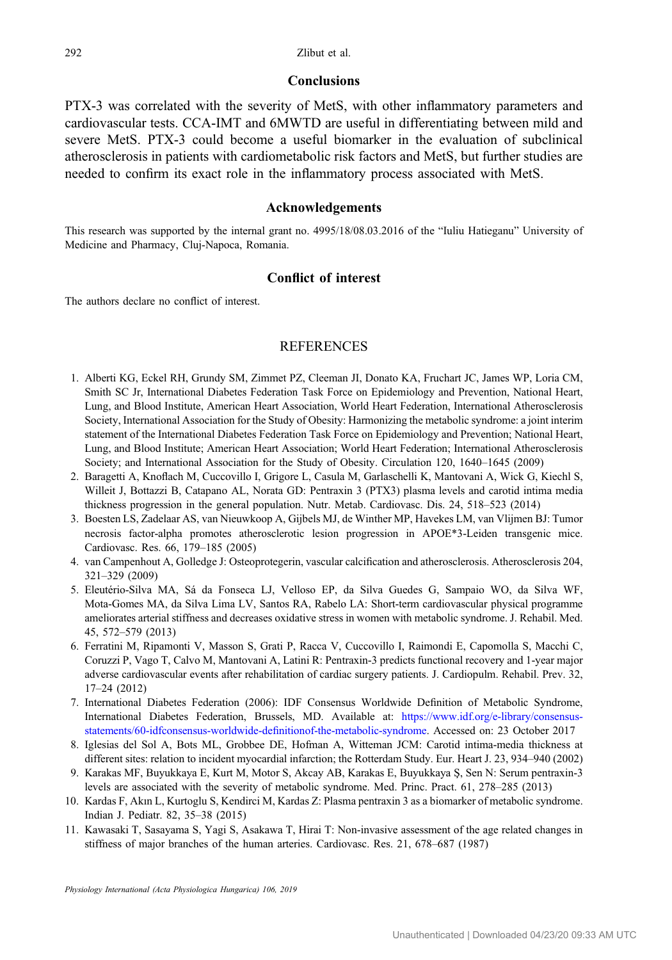#### Conclusions

<span id="page-9-0"></span>PTX-3 was correlated with the severity of MetS, with other inflammatory parameters and cardiovascular tests. CCA-IMT and 6MWTD are useful in differentiating between mild and severe MetS. PTX-3 could become a useful biomarker in the evaluation of subclinical atherosclerosis in patients with cardiometabolic risk factors and MetS, but further studies are needed to confirm its exact role in the inflammatory process associated with MetS.

#### Acknowledgements

This research was supported by the internal grant no. 4995/18/08.03.2016 of the "Iuliu Hatieganu" University of Medicine and Pharmacy, Cluj-Napoca, Romania.

## Conflict of interest

The authors declare no conflict of interest.

## **REFERENCES**

- 1. Alberti KG, Eckel RH, Grundy SM, Zimmet PZ, Cleeman JI, Donato KA, Fruchart JC, James WP, Loria CM, Smith SC Jr, International Diabetes Federation Task Force on Epidemiology and Prevention, National Heart, Lung, and Blood Institute, American Heart Association, World Heart Federation, International Atherosclerosis Society, International Association for the Study of Obesity: Harmonizing the metabolic syndrome: a joint interim statement of the International Diabetes Federation Task Force on Epidemiology and Prevention; National Heart, Lung, and Blood Institute; American Heart Association; World Heart Federation; International Atherosclerosis Society; and International Association for the Study of Obesity. Circulation 120, 1640–1645 (2009)
- 2. Baragetti A, Knoflach M, Cuccovillo I, Grigore L, Casula M, Garlaschelli K, Mantovani A, Wick G, Kiechl S, Willeit J, Bottazzi B, Catapano AL, Norata GD: Pentraxin 3 (PTX3) plasma levels and carotid intima media thickness progression in the general population. Nutr. Metab. Cardiovasc. Dis. 24, 518–523 (2014)
- 3. Boesten LS, Zadelaar AS, van Nieuwkoop A, Gijbels MJ, de Winther MP, Havekes LM, van Vlijmen BJ: Tumor necrosis factor-alpha promotes atherosclerotic lesion progression in APOE\*3-Leiden transgenic mice. Cardiovasc. Res. 66, 179–185 (2005)
- 4. van Campenhout A, Golledge J: Osteoprotegerin, vascular calcification and atherosclerosis. Atherosclerosis 204, 321–329 (2009)
- 5. Eleutério-Silva MA, Sá da Fonseca LJ, Velloso EP, da Silva Guedes G, Sampaio WO, da Silva WF, Mota-Gomes MA, da Silva Lima LV, Santos RA, Rabelo LA: Short-term cardiovascular physical programme ameliorates arterial stiffness and decreases oxidative stress in women with metabolic syndrome. J. Rehabil. Med. 45, 572–579 (2013)
- 6. Ferratini M, Ripamonti V, Masson S, Grati P, Racca V, Cuccovillo I, Raimondi E, Capomolla S, Macchi C, Coruzzi P, Vago T, Calvo M, Mantovani A, Latini R: Pentraxin-3 predicts functional recovery and 1-year major adverse cardiovascular events after rehabilitation of cardiac surgery patients. J. Cardiopulm. Rehabil. Prev. 32, 17–24 (2012)
- 7. International Diabetes Federation (2006): IDF Consensus Worldwide Definition of Metabolic Syndrome, International Diabetes Federation, Brussels, MD. Available at: [https://www.idf.org/e-library/consensus](https://www.idf.org/e-library/consensus-statements/60-idfconsensus-worldwide-definitionof-the-metabolic-syndrome)[statements/60-idfconsensus-worldwide-de](https://www.idf.org/e-library/consensus-statements/60-idfconsensus-worldwide-definitionof-the-metabolic-syndrome)finitionof-the-metabolic-syndrome. Accessed on: 23 October 2017
- 8. Iglesias del Sol A, Bots ML, Grobbee DE, Hofman A, Witteman JCM: Carotid intima-media thickness at different sites: relation to incident myocardial infarction; the Rotterdam Study. Eur. Heart J. 23, 934–940 (2002)
- 9. Karakas MF, Buyukkaya E, Kurt M, Motor S, Akcay AB, Karakas E, Buyukkaya S, Sen N: Serum pentraxin-3 levels are associated with the severity of metabolic syndrome. Med. Princ. Pract. 61, 278–285 (2013)
- 10. Kardas F, Akın L, Kurtoglu S, Kendirci M, Kardas Z: Plasma pentraxin 3 as a biomarker of metabolic syndrome. Indian J. Pediatr. 82, 35–38 (2015)
- 11. Kawasaki T, Sasayama S, Yagi S, Asakawa T, Hirai T: Non-invasive assessment of the age related changes in stiffness of major branches of the human arteries. Cardiovasc. Res. 21, 678–687 (1987)